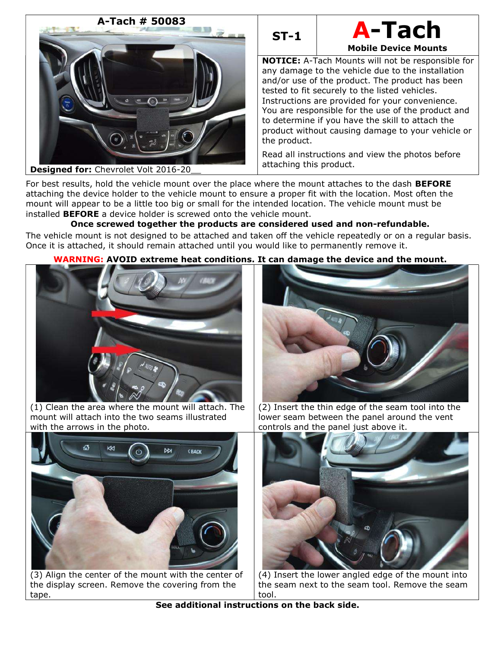



NOTICE: A-Tach Mounts will not be responsible for any damage to the vehicle due to the installation and/or use of the product. The product has been tested to fit securely to the listed vehicles. Instructions are provided for your convenience. You are responsible for the use of the product and to determine if you have the skill to attach the product without causing damage to your vehicle or the product.

Read all instructions and view the photos before attaching this product.

For best results, hold the vehicle mount over the place where the mount attaches to the dash **BEFORE** attaching the device holder to the vehicle mount to ensure a proper fit with the location. Most often the mount will appear to be a little too big or small for the intended location. The vehicle mount must be installed BEFORE a device holder is screwed onto the vehicle mount.

# Once screwed together the products are considered used and non-refundable.

The vehicle mount is not designed to be attached and taken off the vehicle repeatedly or on a regular basis. Once it is attached, it should remain attached until you would like to permanently remove it.

## WARNING: AVOID extreme heat conditions. It can damage the device and the mount.



(1) Clean the area where the mount will attach. The mount will attach into the two seams illustrated with the arrows in the photo.



(3) Align the center of the mount with the center of the display screen. Remove the covering from the tape.



(2) Insert the thin edge of the seam tool into the lower seam between the panel around the vent controls and the panel just above it.



(4) Insert the lower angled edge of the mount into the seam next to the seam tool. Remove the seam tool.

See additional instructions on the back side.